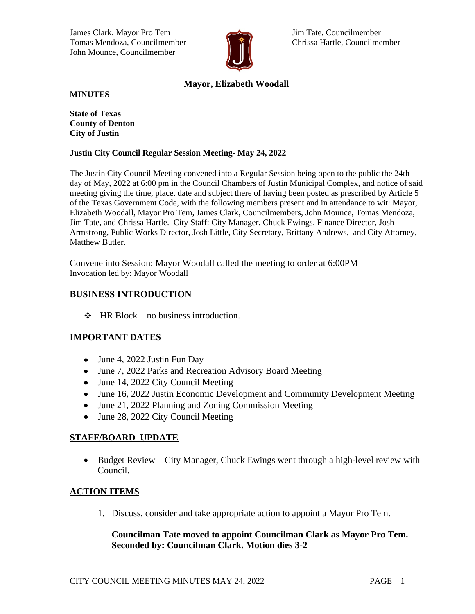James Clark, Mayor Pro Tem Jim Tate, Councilmember Tomas Mendoza, Councilmember **Chrissa Hartle, Councilmember** Chrissa Hartle, Councilmember John Mounce, Councilmember



# **Mayor, Elizabeth Woodall**

**MINUTES**

**State of Texas County of Denton City of Justin**

#### **Justin City Council Regular Session Meeting- May 24, 2022**

The Justin City Council Meeting convened into a Regular Session being open to the public the 24th day of May, 2022 at 6:00 pm in the Council Chambers of Justin Municipal Complex, and notice of said meeting giving the time, place, date and subject there of having been posted as prescribed by Article 5 of the Texas Government Code, with the following members present and in attendance to wit: Mayor, Elizabeth Woodall, Mayor Pro Tem, James Clark, Councilmembers, John Mounce, Tomas Mendoza, Jim Tate, and Chrissa Hartle. City Staff: City Manager, Chuck Ewings, Finance Director, Josh Armstrong, Public Works Director, Josh Little, City Secretary, Brittany Andrews, and City Attorney, Matthew Butler.

Convene into Session: Mayor Woodall called the meeting to order at 6:00PM Invocation led by: Mayor Woodall

## **BUSINESS INTRODUCTION**

 $\div$  HR Block – no business introduction.

### **IMPORTANT DATES**

- June 4, 2022 Justin Fun Day
- June 7, 2022 Parks and Recreation Advisory Board Meeting
- June 14, 2022 City Council Meeting
- June 16, 2022 Justin Economic Development and Community Development Meeting
- June 21, 2022 Planning and Zoning Commission Meeting
- June 28, 2022 City Council Meeting

### **STAFF/BOARD UPDATE**

• Budget Review – City Manager, Chuck Ewings went through a high-level review with Council.

## **ACTION ITEMS**

1. Discuss, consider and take appropriate action to appoint a Mayor Pro Tem.

## **Councilman Tate moved to appoint Councilman Clark as Mayor Pro Tem. Seconded by: Councilman Clark. Motion dies 3-2**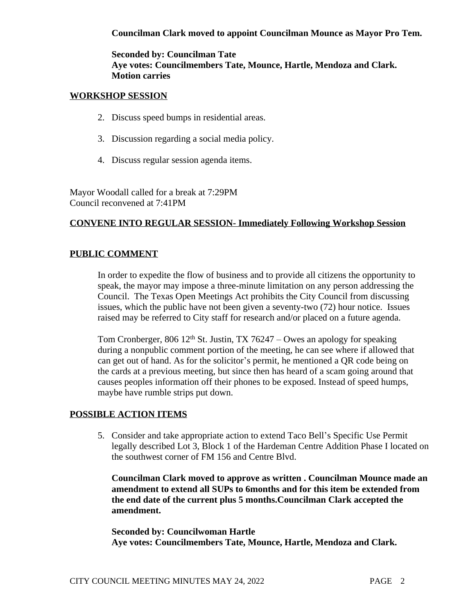## **Councilman Clark moved to appoint Councilman Mounce as Mayor Pro Tem.**

**Seconded by: Councilman Tate Aye votes: Councilmembers Tate, Mounce, Hartle, Mendoza and Clark. Motion carries**

### **WORKSHOP SESSION**

- 2. Discuss speed bumps in residential areas.
- 3. Discussion regarding a social media policy.
- 4. Discuss regular session agenda items.

Mayor Woodall called for a break at 7:29PM Council reconvened at 7:41PM

## **CONVENE INTO REGULAR SESSION- Immediately Following Workshop Session**

## **PUBLIC COMMENT**

In order to expedite the flow of business and to provide all citizens the opportunity to speak, the mayor may impose a three-minute limitation on any person addressing the Council. The Texas Open Meetings Act prohibits the City Council from discussing issues, which the public have not been given a seventy-two (72) hour notice. Issues raised may be referred to City staff for research and/or placed on a future agenda.

Tom Cronberger, 806 12<sup>th</sup> St. Justin, TX 76247 – Owes an apology for speaking during a nonpublic comment portion of the meeting, he can see where if allowed that can get out of hand. As for the solicitor's permit, he mentioned a QR code being on the cards at a previous meeting, but since then has heard of a scam going around that causes peoples information off their phones to be exposed. Instead of speed humps, maybe have rumble strips put down.

### **POSSIBLE ACTION ITEMS**

5. Consider and take appropriate action to extend Taco Bell's Specific Use Permit legally described Lot 3, Block 1 of the Hardeman Centre Addition Phase I located on the southwest corner of FM 156 and Centre Blvd.

**Councilman Clark moved to approve as written . Councilman Mounce made an amendment to extend all SUPs to 6months and for this item be extended from the end date of the current plus 5 months.Councilman Clark accepted the amendment.**

**Seconded by: Councilwoman Hartle Aye votes: Councilmembers Tate, Mounce, Hartle, Mendoza and Clark.**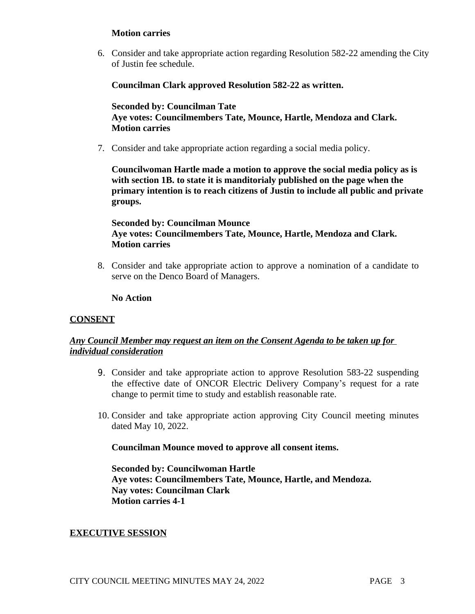## **Motion carries**

6. Consider and take appropriate action regarding Resolution 582-22 amending the City of Justin fee schedule.

## **Councilman Clark approved Resolution 582-22 as written.**

## **Seconded by: Councilman Tate Aye votes: Councilmembers Tate, Mounce, Hartle, Mendoza and Clark. Motion carries**

7. Consider and take appropriate action regarding a social media policy.

**Councilwoman Hartle made a motion to approve the social media policy as is with section 1B. to state it is manditorialy published on the page when the primary intention is to reach citizens of Justin to include all public and private groups.** 

## **Seconded by: Councilman Mounce Aye votes: Councilmembers Tate, Mounce, Hartle, Mendoza and Clark. Motion carries**

8. Consider and take appropriate action to approve a nomination of a candidate to serve on the Denco Board of Managers.

### **No Action**

### **CONSENT**

## *Any Council Member may request an item on the Consent Agenda to be taken up for individual consideration*

- 9. Consider and take appropriate action to approve Resolution 583-22 suspending the effective date of ONCOR Electric Delivery Company's request for a rate change to permit time to study and establish reasonable rate.
- 10. Consider and take appropriate action approving City Council meeting minutes dated May 10, 2022.

### **Councilman Mounce moved to approve all consent items.**

**Seconded by: Councilwoman Hartle Aye votes: Councilmembers Tate, Mounce, Hartle, and Mendoza. Nay votes: Councilman Clark Motion carries 4-1**

### **EXECUTIVE SESSION**